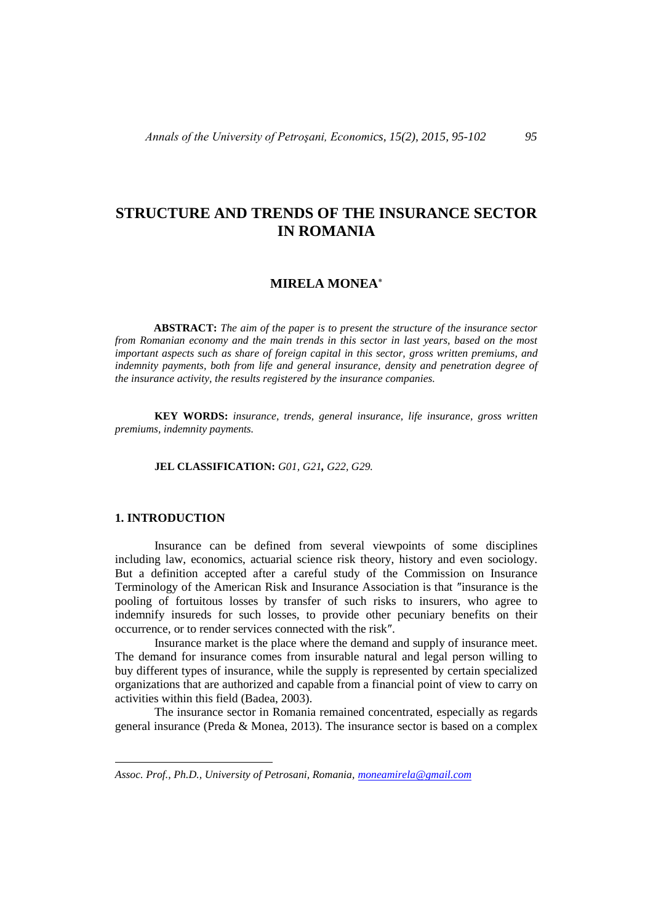# **STRUCTURE AND TRENDS OF THE INSURANCE SECTOR IN ROMANIA**

## **MIRELA MONEA**

**ABSTRACT:** *The aim of the paper is to present the structure of the insurance sector from Romanian economy and the main trends in this sector in last years, based on the most important aspects such as share of foreign capital in this sector, gross written premiums, and indemnity payments, both from life and general insurance, density and penetration degree of the insurance activity, the results registered by the insurance companies.*

**KEY WORDS:** *insurance, trends, general insurance, life insurance, gross written premiums, indemnity payments.*

#### **JEL CLASSIFICATION:** *G01, G21, G22, G29.*

#### **1. INTRODUCTION**

 $\overline{a}$ 

Insurance can be defined from several viewpoints of some disciplines including law, economics, actuarial science risk theory, history and even sociology. But a definition accepted after a careful study of the Commission on Insurance Terminology of the American Risk and Insurance Association is that ″insurance is the pooling of fortuitous losses by transfer of such risks to insurers, who agree to indemnify insureds for such losses, to provide other pecuniary benefits on their occurrence, or to render services connected with the risk″.

Insurance market is the place where the demand and supply of insurance meet. The demand for insurance comes from insurable natural and legal person willing to buy different types of insurance, while the supply is represented by certain specialized organizations that are authorized and capable from a financial point of view to carry on activities within this field (Badea, 2003).

The insurance sector in Romania remained concentrated, especially as regards general insurance (Preda & Monea, 2013). The insurance sector is based on a complex

*Assoc. Prof., Ph.D., University of Petrosani, Romania, [moneamirela@gmail.com](mailto:moneamirela@gmail.com)*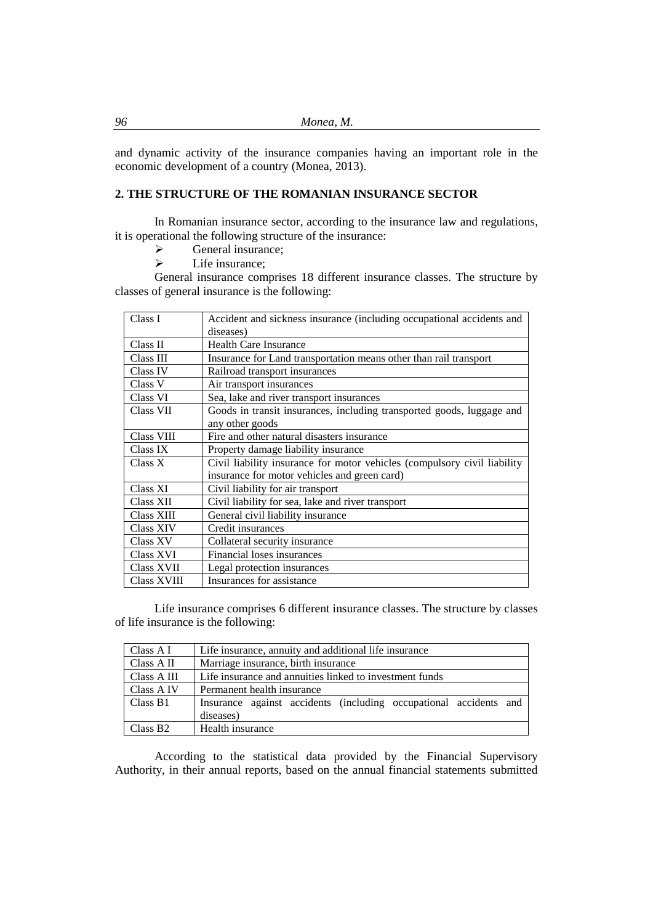and dynamic activity of the insurance companies having an important role in the economic development of a country (Monea, 2013).

## **2. THE STRUCTURE OF THE ROMANIAN INSURANCE SECTOR**

In Romanian insurance sector, according to the insurance law and regulations, it is operational the following structure of the insurance:

- $\triangleright$  General insurance;<br> $\triangleright$  Life insurance:
- Life insurance:

General insurance comprises 18 different insurance classes. The structure by classes of general insurance is the following:

| Class I            | Accident and sickness insurance (including occupational accidents and    |  |  |
|--------------------|--------------------------------------------------------------------------|--|--|
|                    | diseases)                                                                |  |  |
| Class II           | <b>Health Care Insurance</b>                                             |  |  |
| Class III          | Insurance for Land transportation means other than rail transport        |  |  |
| Class IV           | Railroad transport insurances                                            |  |  |
| Class V            | Air transport insurances                                                 |  |  |
| Class VI           | Sea, lake and river transport insurances                                 |  |  |
| Class VII          | Goods in transit insurances, including transported goods, luggage and    |  |  |
|                    | any other goods                                                          |  |  |
| Class VIII         | Fire and other natural disasters insurance                               |  |  |
| Class IX           | Property damage liability insurance                                      |  |  |
| Class X            | Civil liability insurance for motor vehicles (compulsory civil liability |  |  |
|                    | insurance for motor vehicles and green card)                             |  |  |
| Class XI           | Civil liability for air transport                                        |  |  |
| Class XII          | Civil liability for sea, lake and river transport                        |  |  |
| Class XIII         | General civil liability insurance                                        |  |  |
| <b>Class XIV</b>   | Credit insurances                                                        |  |  |
| Class XV           | Collateral security insurance                                            |  |  |
| Class XVI          | Financial loses insurances                                               |  |  |
| <b>Class XVII</b>  | Legal protection insurances                                              |  |  |
| <b>Class XVIII</b> | Insurances for assistance                                                |  |  |

Life insurance comprises 6 different insurance classes. The structure by classes of life insurance is the following:

| Class A I   | Life insurance, annuity and additional life insurance                          |  |  |  |
|-------------|--------------------------------------------------------------------------------|--|--|--|
| Class A II  | Marriage insurance, birth insurance                                            |  |  |  |
| Class A III | Life insurance and annuities linked to investment funds                        |  |  |  |
| Class A IV  | Permanent health insurance                                                     |  |  |  |
| Class B1    | Insurance against accidents (including occupational accidents and<br>diseases) |  |  |  |
| Class B2    | Health insurance                                                               |  |  |  |

According to the statistical data provided by the Financial Supervisory Authority, in their annual reports, based on the annual financial statements submitted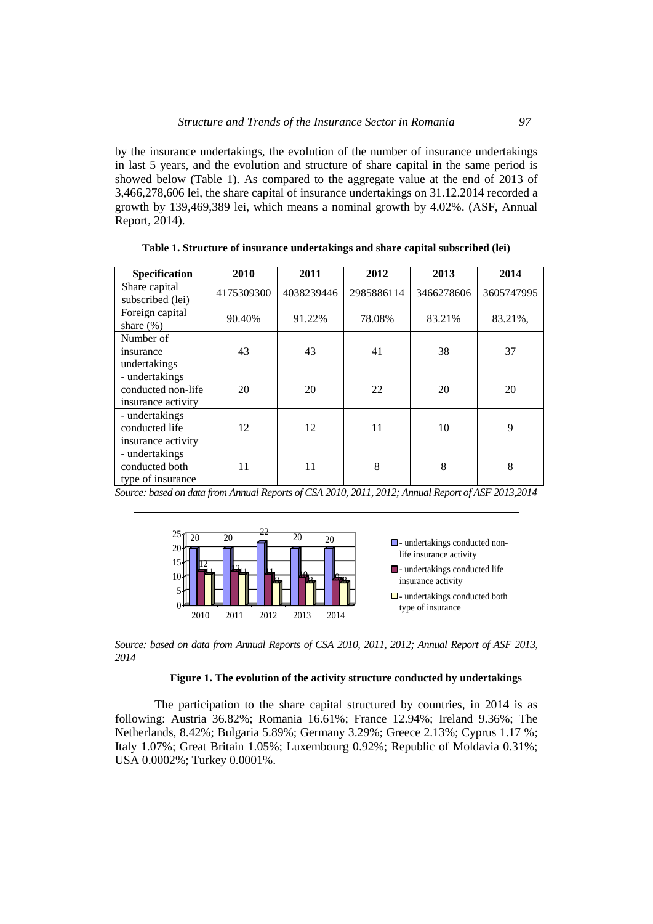by the insurance undertakings, the evolution of the number of insurance undertakings in last 5 years, and the evolution and structure of share capital in the same period is showed below (Table 1). As compared to the aggregate value at the end of 2013 of 3,466,278,606 lei, the share capital of insurance undertakings on 31.12.2014 recorded a growth by 139,469,389 lei, which means a nominal growth by 4.02%. (ASF, Annual Report, 2014).

**Specification 2010 2011 2012 2013 2014** Share capital subscribed (lei) 4175309300 4038239446 2985886114 3466278606 3605747995 Foreign capital share (%) 90.40% 91.22% 78.08% 83.21% 83.21%, Number of insurance undertakings 43 41 38 37 - undertakings conducted non-life insurance activity 20 20 22 20 20 - undertakings conducted life insurance activity 12 | 12 | 11 | 10 | 9 - undertakings conducted both type of insurance 11 11 8 8 8

**Table 1. Structure of insurance undertakings and share capital subscribed (lei)**

*Source: based on data from Annual Reports of CSA 2010, 2011, 2012; Annual Report of ASF 2013,2014*



*Source: based on data from Annual Reports of CSA 2010, 2011, 2012; Annual Report of ASF 2013, 2014*

### **Figure 1. The evolution of the activity structure conducted by undertakings**

The participation to the share capital structured by countries, in 2014 is as following: Austria 36.82%; Romania 16.61%; France 12.94%; Ireland 9.36%; The Netherlands, 8.42%; Bulgaria 5.89%; Germany 3.29%; Greece 2.13%; Cyprus 1.17 %; Italy 1.07%; Great Britain 1.05%; Luxembourg 0.92%; Republic of Moldavia 0.31%; USA 0.0002%; Turkey 0.0001%.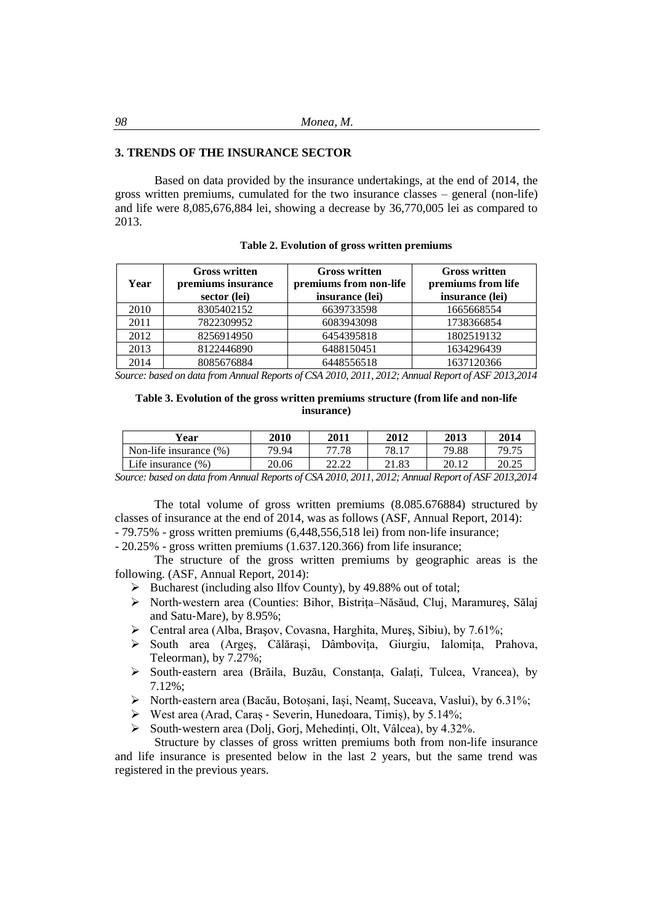## **3. TRENDS OF THE INSURANCE SECTOR**

Based on data provided by the insurance undertakings, at the end of 2014, the gross written premiums, cumulated for the two insurance classes – general (non-life) and life were 8,085,676,884 lei, showing a decrease by 36,770,005 lei as compared to 2013.

| Year | <b>Gross written</b><br>premiums insurance<br>sector (lei) | <b>Gross written</b><br>premiums from non-life<br>insurance (lei) | <b>Gross written</b><br>premiums from life<br>insurance (lei) |
|------|------------------------------------------------------------|-------------------------------------------------------------------|---------------------------------------------------------------|
| 2010 | 8305402152                                                 | 6639733598                                                        | 1665668554                                                    |
| 2011 | 7822309952                                                 | 6083943098                                                        | 1738366854                                                    |
| 2012 | 8256914950                                                 | 6454395818                                                        | 1802519132                                                    |
| 2013 | 8122446890                                                 | 6488150451                                                        | 1634296439                                                    |
| 2014 | 8085676884                                                 | 6448556518                                                        | 1637120366                                                    |

#### **Table 2. Evolution of gross written premiums**

*Source: based on data from Annual Reports of CSA 2010, 2011, 2012; Annual Report of ASF 2013,2014*

### **Table 3. Evolution of the gross written premiums structure (from life and non-life insurance)**

| Vear                      | <b>2010</b> | 2011           | 2012  | 2013  | 2014  |
|---------------------------|-------------|----------------|-------|-------|-------|
| Non-life insurance $(\%)$ | 79.94       | 77.78          | 78.17 | 79.88 | 79.75 |
| Life insurance $(\%)$     | 20.06       | າາ າາ<br>44.44 | 21.83 | 20.12 | 20.25 |

*Source: based on data from Annual Reports of CSA 2010, 2011, 2012; Annual Report of ASF 2013,2014*

The total volume of gross written premiums (8.085.676884) structured by classes of insurance at the end of 2014, was as follows (ASF, Annual Report, 2014): - 79.75% - gross written premiums (6,448,556,518 lei) from non‐life insurance;

- 20.25% - gross written premiums (1.637.120.366) from life insurance;

The structure of the gross written premiums by geographic areas is the following. (ASF, Annual Report, 2014):

- ➢ Bucharest (including also Ilfov County), by 49.88% out of total;
- ➢ North‐western area (Counties: Bihor, Bistrița–Năsăud, Cluj, Maramureş, Sălaj and Satu‐Mare), by 8.95%;
- ➢ Central area (Alba, Braşov, Covasna, Harghita, Mureş, Sibiu), by 7.61%;
- ➢ South area (Argeş, Călărași, Dâmbovița, Giurgiu, Ialomița, Prahova, Teleorman), by 7.27%;
- ➢ South‐eastern area (Brăila, Buzău, Constanța, Galați, Tulcea, Vrancea), by 7.12%;
- ➢ North‐eastern area (Bacău, Botoșani, Iași, Neamț, Suceava, Vaslui), by 6.31%;
- ➢ West area (Arad, Caraș ‐ Severin, Hunedoara, Timiș), by 5.14%;
- ➢ South‐western area (Dolj, Gorj, Mehedinți, Olt, Vâlcea), by 4.32%.

Structure by classes of gross written premiums both from non-life insurance and life insurance is presented below in the last 2 years, but the same trend was registered in the previous years.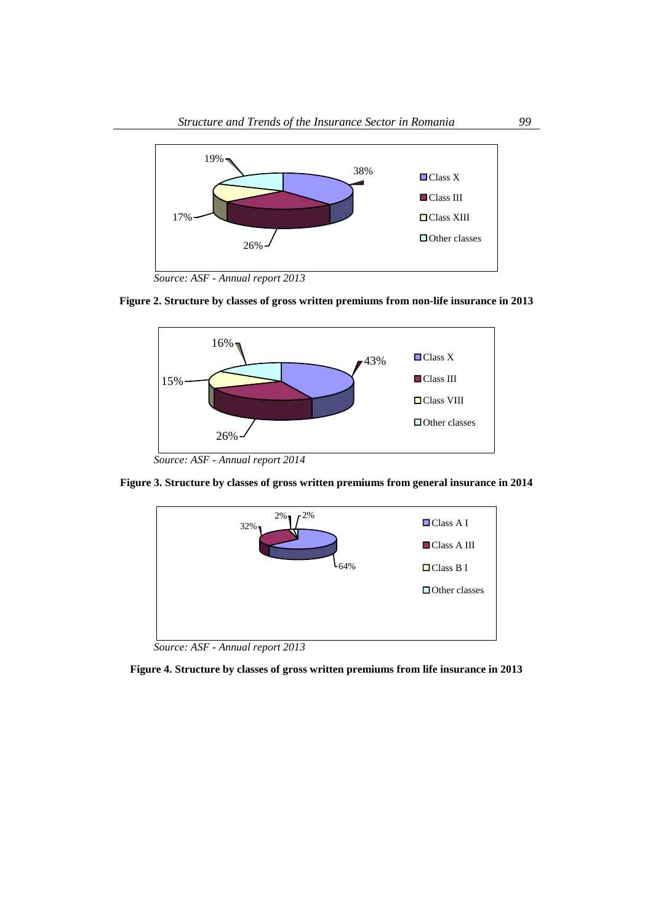

*Source: ASF - Annual report 2013*





**Figure 3. Structure by classes of gross written premiums from general insurance in 2014**



*Source: ASF - Annual report 2013*

**Figure 4. Structure by classes of gross written premiums from life insurance in 2013**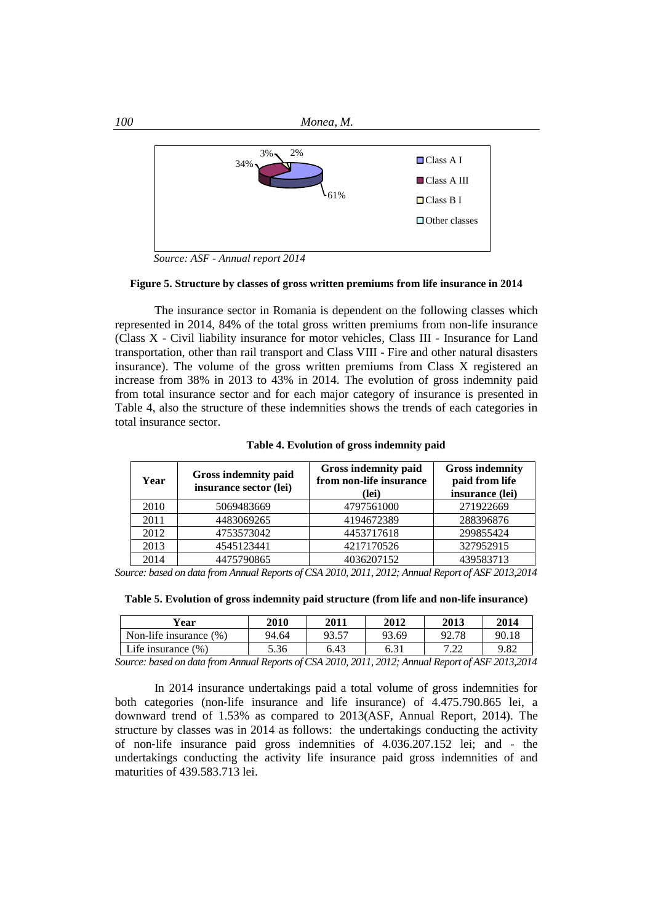

*Source: ASF - Annual report 2014*

#### **Figure 5. Structure by classes of gross written premiums from life insurance in 2014**

The insurance sector in Romania is dependent on the following classes which represented in 2014, 84% of the total gross written premiums from non-life insurance (Class X - Civil liability insurance for motor vehicles, Class III - Insurance for Land transportation, other than rail transport and Class VIII - Fire and other natural disasters insurance). The volume of the gross written premiums from Class X registered an increase from 38% in 2013 to 43% in 2014. The evolution of gross indemnity paid from total insurance sector and for each major category of insurance is presented in Table 4, also the structure of these indemnities shows the trends of each categories in total insurance sector.

| Year | <b>Gross indemnity paid</b><br>insurance sector (lei) | Gross indemnity paid<br>from non-life insurance<br>(lei) | <b>Gross indemnity</b><br>paid from life<br>insurance (lei) |
|------|-------------------------------------------------------|----------------------------------------------------------|-------------------------------------------------------------|
| 2010 | 5069483669                                            | 4797561000                                               | 271922669                                                   |
| 2011 | 4483069265                                            | 4194672389                                               | 288396876                                                   |
| 2012 | 4753573042                                            | 4453717618                                               | 299855424                                                   |
| 2013 | 4545123441                                            | 4217170526                                               | 327952915                                                   |
| 2014 | 4475790865                                            | 4036207152                                               | 439583713                                                   |

**Table 4. Evolution of gross indemnity paid**

*Source: based on data from Annual Reports of CSA 2010, 2011, 2012; Annual Report of ASF 2013,2014*

**Table 5. Evolution of gross indemnity paid structure (from life and non-life insurance)**

| Year                      | <b>2010</b> | 2011  | 2012  | 2013         | 2014  |
|---------------------------|-------------|-------|-------|--------------|-------|
| Non-life insurance $(\%)$ | 94.64       | 93.57 | 93.69 | 92.78        | 90.18 |
| Life insurance (%)        | 5.36        | 6.43  |       | ר ר<br>$-44$ | 9.82  |

*Source: based on data from Annual Reports of CSA 2010, 2011, 2012; Annual Report of ASF 2013,2014*

In 2014 insurance undertakings paid a total volume of gross indemnities for both categories (non‐life insurance and life insurance) of 4.475.790.865 lei, a downward trend of 1.53% as compared to 2013(ASF, Annual Report, 2014). The structure by classes was in 2014 as follows: the undertakings conducting the activity of non‐life insurance paid gross indemnities of 4.036.207.152 lei; and - the undertakings conducting the activity life insurance paid gross indemnities of and maturities of 439.583.713 lei.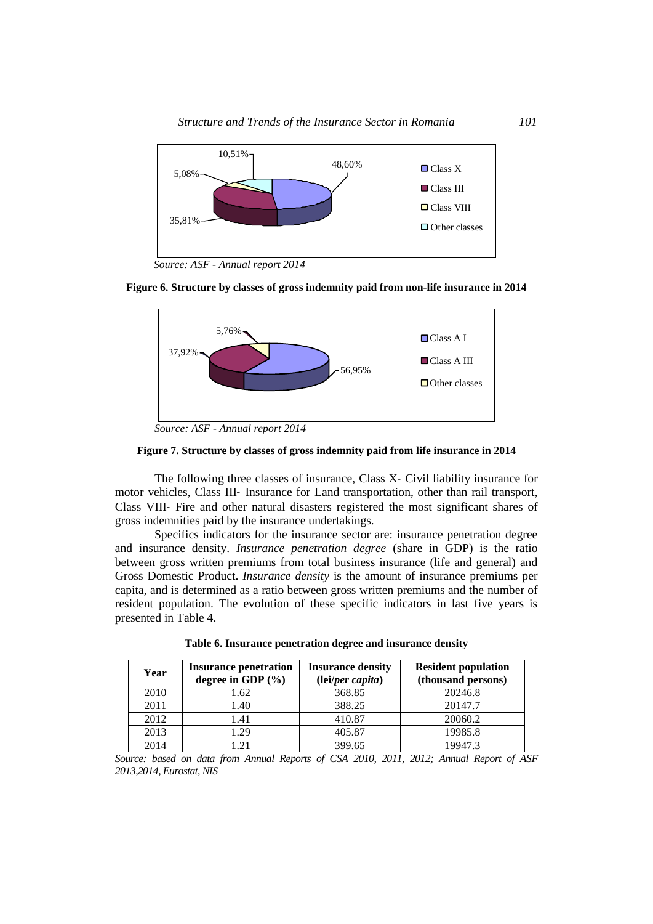

*Source: ASF - Annual report 2014*





*Source: ASF - Annual report 2014*

## **Figure 7. Structure by classes of gross indemnity paid from life insurance in 2014**

The following three classes of insurance, Class X‐ Civil liability insurance for motor vehicles, Class III‐ Insurance for Land transportation, other than rail transport, Class VIII‐ Fire and other natural disasters registered the most significant shares of gross indemnities paid by the insurance undertakings.

Specifics indicators for the insurance sector are: insurance penetration degree and insurance density. *Insurance penetration degree* (share in GDP) is the ratio between gross written premiums from total business insurance (life and general) and Gross Domestic Product. *Insurance density* is the amount of insurance premiums per capita, and is determined as a ratio between gross written premiums and the number of resident population. The evolution of these specific indicators in last five years is presented in Table 4.

| Year | <b>Insurance penetration</b><br>degree in GDP $(\% )$ | <b>Insurance density</b><br>(lei/per capita) | <b>Resident population</b><br>(thousand persons) |
|------|-------------------------------------------------------|----------------------------------------------|--------------------------------------------------|
| 2010 | 1.62                                                  | 368.85                                       | 20246.8                                          |
| 2011 | 1.40                                                  | 388.25                                       | 20147.7                                          |
| 2012 | 1.41                                                  | 410.87                                       | 20060.2                                          |
| 2013 | 1.29                                                  | 405.87                                       | 19985.8                                          |
| 2014 | l 21                                                  | 399.65                                       | 19947.3                                          |

**Table 6. Insurance penetration degree and insurance density**

*Source: based on data from Annual Reports of CSA 2010, 2011, 2012; Annual Report of ASF 2013,2014, Eurostat, NIS*